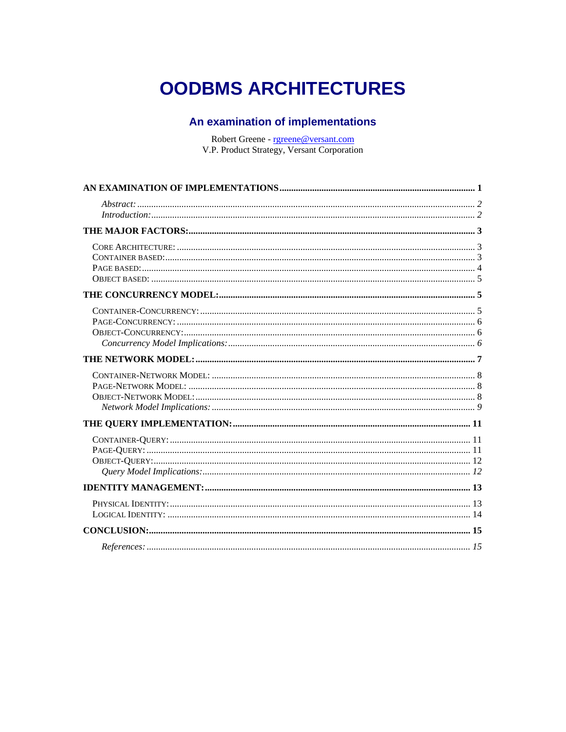# <span id="page-0-0"></span>**OODBMS ARCHITECTURES**

#### An examination of implementations

Robert Greene - rgreene@versant.com V.P. Product Strategy, Versant Corporation

| Introduction: 22 |  |
|------------------|--|
|                  |  |
|                  |  |
|                  |  |
|                  |  |
|                  |  |
|                  |  |
|                  |  |
|                  |  |
|                  |  |
|                  |  |
|                  |  |
|                  |  |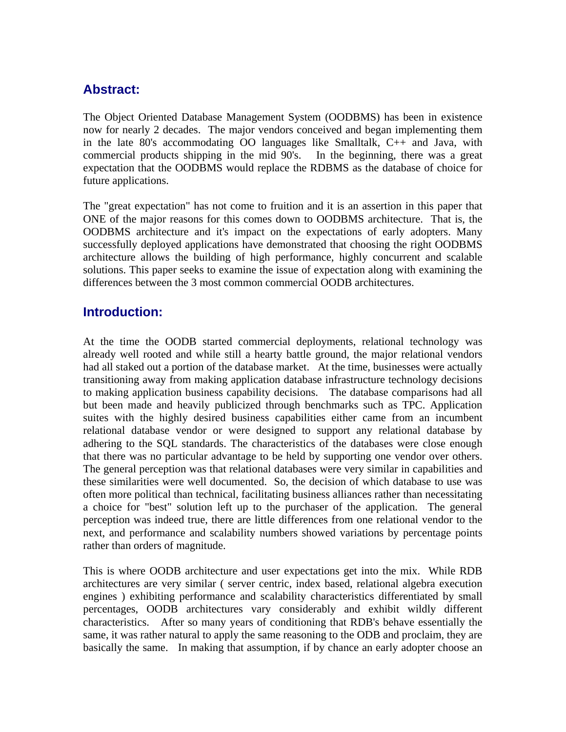#### <span id="page-1-0"></span>**Abstract:**

The Object Oriented Database Management System (OODBMS) has been in existence now for nearly 2 decades. The major vendors conceived and began implementing them in the late 80's accommodating OO languages like Smalltalk, C++ and Java, with commercial products shipping in the mid 90's. In the beginning, there was a great expectation that the OODBMS would replace the RDBMS as the database of choice for future applications.

The "great expectation" has not come to fruition and it is an assertion in this paper that ONE of the major reasons for this comes down to OODBMS architecture. That is, the OODBMS architecture and it's impact on the expectations of early adopters. Many successfully deployed applications have demonstrated that choosing the right OODBMS architecture allows the building of high performance, highly concurrent and scalable solutions. This paper seeks to examine the issue of expectation along with examining the differences between the 3 most common commercial OODB architectures.

#### **Introduction:**

At the time the OODB started commercial deployments, relational technology was already well rooted and while still a hearty battle ground, the major relational vendors had all staked out a portion of the database market. At the time, businesses were actually transitioning away from making application database infrastructure technology decisions to making application business capability decisions. The database comparisons had all but been made and heavily publicized through benchmarks such as TPC. Application suites with the highly desired business capabilities either came from an incumbent relational database vendor or were designed to support any relational database by adhering to the SQL standards. The characteristics of the databases were close enough that there was no particular advantage to be held by supporting one vendor over others. The general perception was that relational databases were very similar in capabilities and these similarities were well documented. So, the decision of which database to use was often more political than technical, facilitating business alliances rather than necessitating a choice for "best" solution left up to the purchaser of the application. The general perception was indeed true, there are little differences from one relational vendor to the next, and performance and scalability numbers showed variations by percentage points rather than orders of magnitude.

This is where OODB architecture and user expectations get into the mix. While RDB architectures are very similar ( server centric, index based, relational algebra execution engines ) exhibiting performance and scalability characteristics differentiated by small percentages, OODB architectures vary considerably and exhibit wildly different characteristics. After so many years of conditioning that RDB's behave essentially the same, it was rather natural to apply the same reasoning to the ODB and proclaim, they are basically the same. In making that assumption, if by chance an early adopter choose an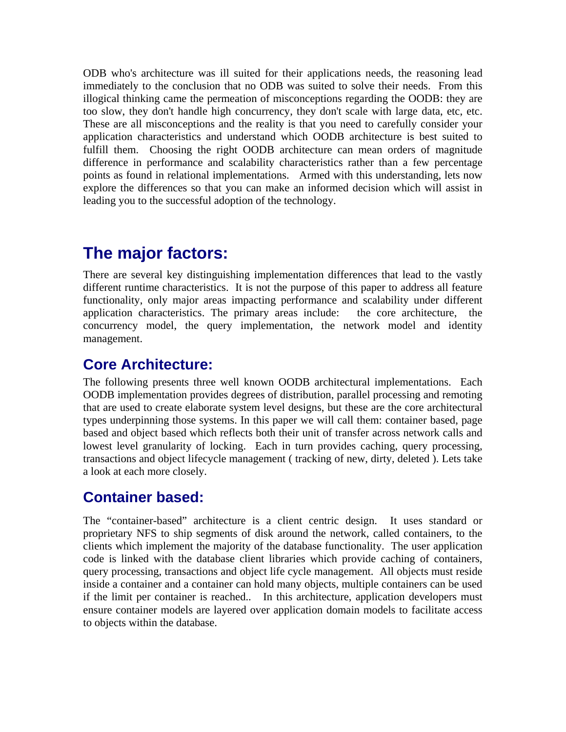<span id="page-2-0"></span>ODB who's architecture was ill suited for their applications needs, the reasoning lead immediately to the conclusion that no ODB was suited to solve their needs. From this illogical thinking came the permeation of misconceptions regarding the OODB: they are too slow, they don't handle high concurrency, they don't scale with large data, etc, etc. These are all misconceptions and the reality is that you need to carefully consider your application characteristics and understand which OODB architecture is best suited to fulfill them. Choosing the right OODB architecture can mean orders of magnitude difference in performance and scalability characteristics rather than a few percentage points as found in relational implementations. Armed with this understanding, lets now explore the differences so that you can make an informed decision which will assist in leading you to the successful adoption of the technology.

## **The major factors:**

There are several key distinguishing implementation differences that lead to the vastly different runtime characteristics. It is not the purpose of this paper to address all feature functionality, only major areas impacting performance and scalability under different application characteristics. The primary areas include: the core architecture, the concurrency model, the query implementation, the network model and identity management.

#### **Core Architecture:**

The following presents three well known OODB architectural implementations. Each OODB implementation provides degrees of distribution, parallel processing and remoting that are used to create elaborate system level designs, but these are the core architectural types underpinning those systems. In this paper we will call them: container based, page based and object based which reflects both their unit of transfer across network calls and lowest level granularity of locking. Each in turn provides caching, query processing, transactions and object lifecycle management ( tracking of new, dirty, deleted ). Lets take a look at each more closely.

### **Container based:**

The "container-based" architecture is a client centric design. It uses standard or proprietary NFS to ship segments of disk around the network, called containers, to the clients which implement the majority of the database functionality. The user application code is linked with the database client libraries which provide caching of containers, query processing, transactions and object life cycle management. All objects must reside inside a container and a container can hold many objects, multiple containers can be used if the limit per container is reached.. In this architecture, application developers must ensure container models are layered over application domain models to facilitate access to objects within the database.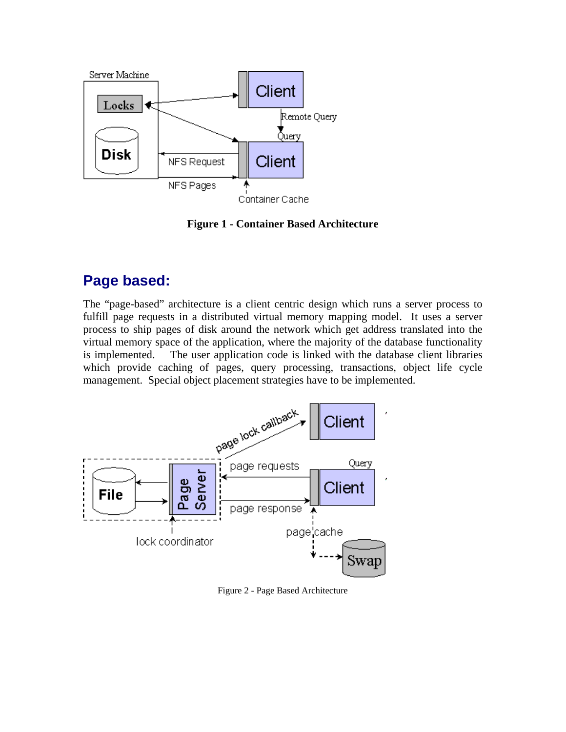<span id="page-3-0"></span>

**Figure 1 - Container Based Architecture** 

### **Page based:**

The "page-based" architecture is a client centric design which runs a server process to fulfill page requests in a distributed virtual memory mapping model. It uses a server process to ship pages of disk around the network which get address translated into the virtual memory space of the application, where the majority of the database functionality is implemented. The user application code is linked with the database client libraries which provide caching of pages, query processing, transactions, object life cycle management. Special object placement strategies have to be implemented.



Figure 2 - Page Based Architecture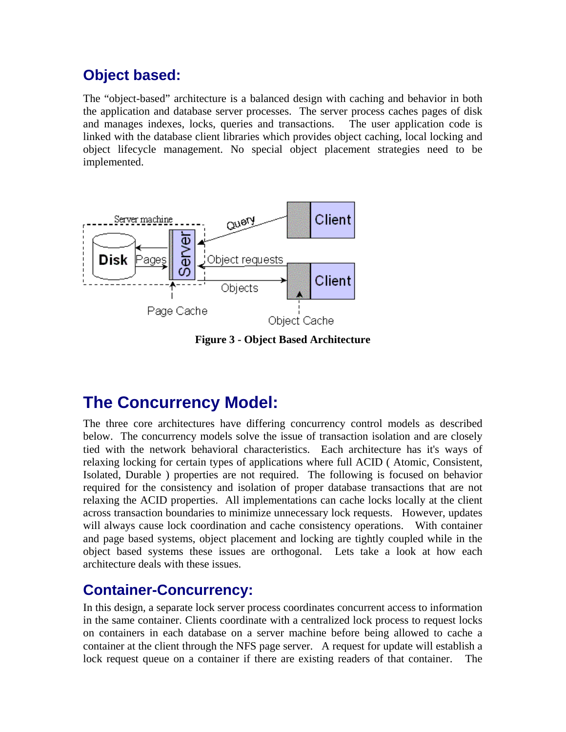### <span id="page-4-0"></span>**Object based:**

The "object-based" architecture is a balanced design with caching and behavior in both the application and database server processes. The server process caches pages of disk and manages indexes, locks, queries and transactions. The user application code is linked with the database client libraries which provides object caching, local locking and object lifecycle management. No special object placement strategies need to be implemented.



**Figure 3 - Object Based Architecture**

## **The Concurrency Model:**

The three core architectures have differing concurrency control models as described below. The concurrency models solve the issue of transaction isolation and are closely tied with the network behavioral characteristics. Each architecture has it's ways of relaxing locking for certain types of applications where full ACID ( Atomic, Consistent, Isolated, Durable ) properties are not required. The following is focused on behavior required for the consistency and isolation of proper database transactions that are not relaxing the ACID properties. All implementations can cache locks locally at the client across transaction boundaries to minimize unnecessary lock requests. However, updates will always cause lock coordination and cache consistency operations. With container and page based systems, object placement and locking are tightly coupled while in the object based systems these issues are orthogonal. Lets take a look at how each architecture deals with these issues.

#### **Container-Concurrency:**

In this design, a separate lock server process coordinates concurrent access to information in the same container. Clients coordinate with a centralized lock process to request locks on containers in each database on a server machine before being allowed to cache a container at the client through the NFS page server. A request for update will establish a lock request queue on a container if there are existing readers of that container. The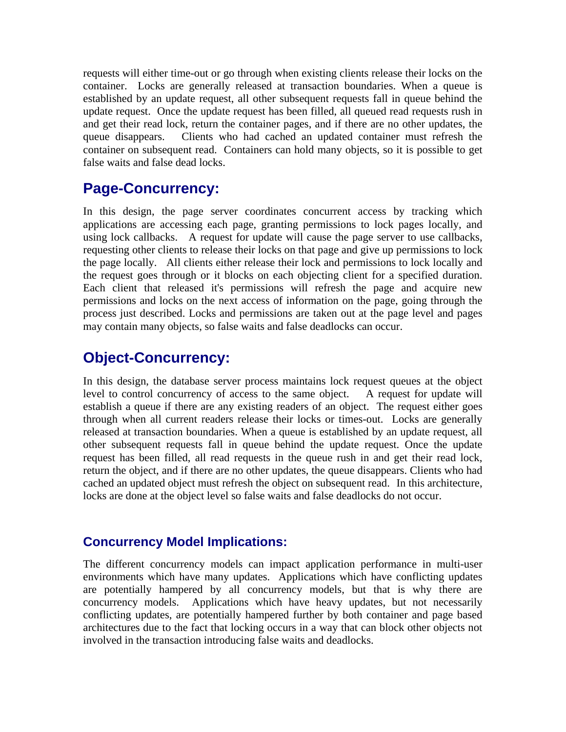<span id="page-5-0"></span>requests will either time-out or go through when existing clients release their locks on the container. Locks are generally released at transaction boundaries. When a queue is established by an update request, all other subsequent requests fall in queue behind the update request. Once the update request has been filled, all queued read requests rush in and get their read lock, return the container pages, and if there are no other updates, the queue disappears. Clients who had cached an updated container must refresh the container on subsequent read. Containers can hold many objects, so it is possible to get false waits and false dead locks.

#### **Page-Concurrency:**

In this design, the page server coordinates concurrent access by tracking which applications are accessing each page, granting permissions to lock pages locally, and using lock callbacks. A request for update will cause the page server to use callbacks, requesting other clients to release their locks on that page and give up permissions to lock the page locally. All clients either release their lock and permissions to lock locally and the request goes through or it blocks on each objecting client for a specified duration. Each client that released it's permissions will refresh the page and acquire new permissions and locks on the next access of information on the page, going through the process just described. Locks and permissions are taken out at the page level and pages may contain many objects, so false waits and false deadlocks can occur.

#### **Object-Concurrency:**

In this design, the database server process maintains lock request queues at the object level to control concurrency of access to the same object. A request for update will establish a queue if there are any existing readers of an object. The request either goes through when all current readers release their locks or times-out. Locks are generally released at transaction boundaries. When a queue is established by an update request, all other subsequent requests fall in queue behind the update request. Once the update request has been filled, all read requests in the queue rush in and get their read lock, return the object, and if there are no other updates, the queue disappears. Clients who had cached an updated object must refresh the object on subsequent read. In this architecture, locks are done at the object level so false waits and false deadlocks do not occur.

#### **Concurrency Model Implications:**

The different concurrency models can impact application performance in multi-user environments which have many updates. Applications which have conflicting updates are potentially hampered by all concurrency models, but that is why there are concurrency models. Applications which have heavy updates, but not necessarily conflicting updates, are potentially hampered further by both container and page based architectures due to the fact that locking occurs in a way that can block other objects not involved in the transaction introducing false waits and deadlocks.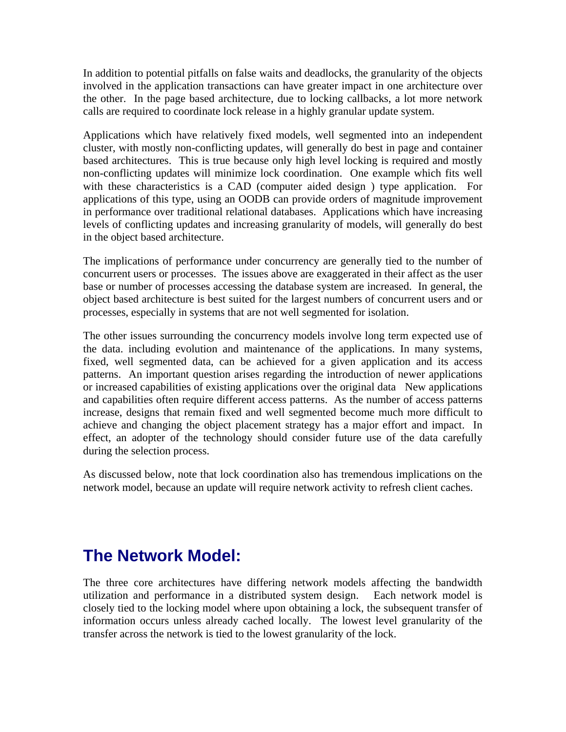<span id="page-6-0"></span>In addition to potential pitfalls on false waits and deadlocks, the granularity of the objects involved in the application transactions can have greater impact in one architecture over the other. In the page based architecture, due to locking callbacks, a lot more network calls are required to coordinate lock release in a highly granular update system.

Applications which have relatively fixed models, well segmented into an independent cluster, with mostly non-conflicting updates, will generally do best in page and container based architectures. This is true because only high level locking is required and mostly non-conflicting updates will minimize lock coordination. One example which fits well with these characteristics is a CAD (computer aided design ) type application. For applications of this type, using an OODB can provide orders of magnitude improvement in performance over traditional relational databases. Applications which have increasing levels of conflicting updates and increasing granularity of models, will generally do best in the object based architecture.

The implications of performance under concurrency are generally tied to the number of concurrent users or processes. The issues above are exaggerated in their affect as the user base or number of processes accessing the database system are increased. In general, the object based architecture is best suited for the largest numbers of concurrent users and or processes, especially in systems that are not well segmented for isolation.

The other issues surrounding the concurrency models involve long term expected use of the data. including evolution and maintenance of the applications. In many systems, fixed, well segmented data, can be achieved for a given application and its access patterns. An important question arises regarding the introduction of newer applications or increased capabilities of existing applications over the original data New applications and capabilities often require different access patterns. As the number of access patterns increase, designs that remain fixed and well segmented become much more difficult to achieve and changing the object placement strategy has a major effort and impact. In effect, an adopter of the technology should consider future use of the data carefully during the selection process.

As discussed below, note that lock coordination also has tremendous implications on the network model, because an update will require network activity to refresh client caches.

## **The Network Model:**

The three core architectures have differing network models affecting the bandwidth utilization and performance in a distributed system design. Each network model is closely tied to the locking model where upon obtaining a lock, the subsequent transfer of information occurs unless already cached locally. The lowest level granularity of the transfer across the network is tied to the lowest granularity of the lock.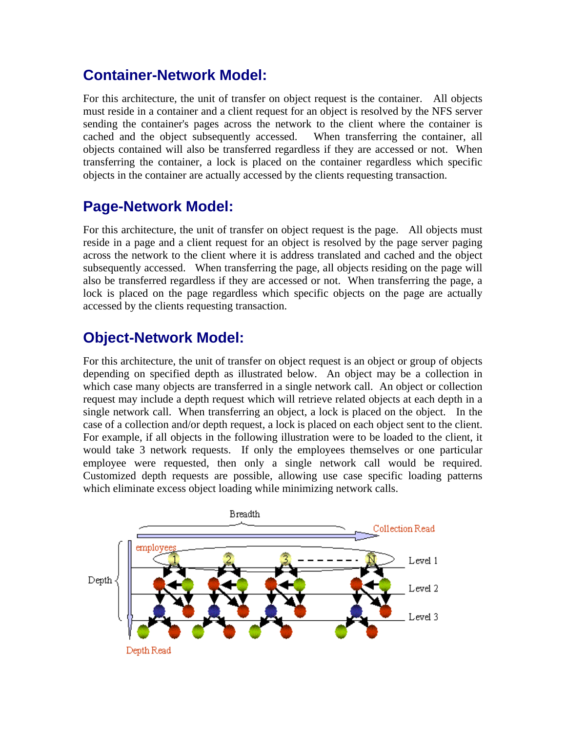#### <span id="page-7-0"></span>**Container-Network Model:**

For this architecture, the unit of transfer on object request is the container. All objects must reside in a container and a client request for an object is resolved by the NFS server sending the container's pages across the network to the client where the container is cached and the object subsequently accessed. When transferring the container, all objects contained will also be transferred regardless if they are accessed or not. When transferring the container, a lock is placed on the container regardless which specific objects in the container are actually accessed by the clients requesting transaction.

#### **Page-Network Model:**

For this architecture, the unit of transfer on object request is the page. All objects must reside in a page and a client request for an object is resolved by the page server paging across the network to the client where it is address translated and cached and the object subsequently accessed. When transferring the page, all objects residing on the page will also be transferred regardless if they are accessed or not. When transferring the page, a lock is placed on the page regardless which specific objects on the page are actually accessed by the clients requesting transaction.

### **Object-Network Model:**

For this architecture, the unit of transfer on object request is an object or group of objects depending on specified depth as illustrated below. An object may be a collection in which case many objects are transferred in a single network call. An object or collection request may include a depth request which will retrieve related objects at each depth in a single network call. When transferring an object, a lock is placed on the object. In the case of a collection and/or depth request, a lock is placed on each object sent to the client. For example, if all objects in the following illustration were to be loaded to the client, it would take 3 network requests. If only the employees themselves or one particular employee were requested, then only a single network call would be required. Customized depth requests are possible, allowing use case specific loading patterns which eliminate excess object loading while minimizing network calls.

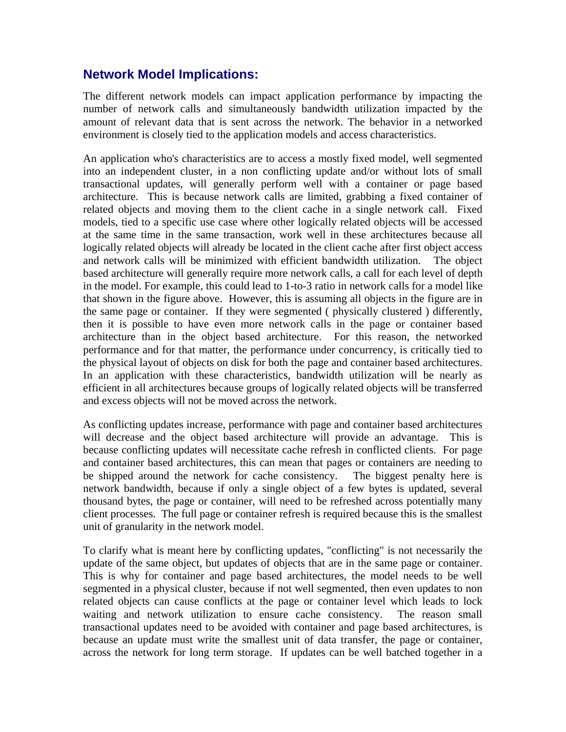#### <span id="page-8-0"></span>**Network Model Implications:**

The different network models can impact application performance by impacting the number of network calls and simultaneously bandwidth utilization impacted by the amount of relevant data that is sent across the network. The behavior in a networked environment is closely tied to the application models and access characteristics.

An application who's characteristics are to access a mostly fixed model, well segmented into an independent cluster, in a non conflicting update and/or without lots of small transactional updates, will generally perform well with a container or page based architecture. This is because network calls are limited, grabbing a fixed container of related objects and moving them to the client cache in a single network call. Fixed models, tied to a specific use case where other logically related objects will be accessed at the same time in the same transaction, work well in these architectures because all logically related objects will already be located in the client cache after first object access and network calls will be minimized with efficient bandwidth utilization. The object based architecture will generally require more network calls, a call for each level of depth in the model. For example, this could lead to 1-to-3 ratio in network calls for a model like that shown in the figure above. However, this is assuming all objects in the figure are in the same page or container. If they were segmented ( physically clustered ) differently, then it is possible to have even more network calls in the page or container based architecture than in the object based architecture. For this reason, the networked performance and for that matter, the performance under concurrency, is critically tied to the physical layout of objects on disk for both the page and container based architectures. In an application with these characteristics, bandwidth utilization will be nearly as efficient in all architectures because groups of logically related objects will be transferred and excess objects will not be moved across the network.

As conflicting updates increase, performance with page and container based architectures will decrease and the object based architecture will provide an advantage. This is because conflicting updates will necessitate cache refresh in conflicted clients. For page and container based architectures, this can mean that pages or containers are needing to be shipped around the network for cache consistency. The biggest penalty here is network bandwidth, because if only a single object of a few bytes is updated, several thousand bytes, the page or container, will need to be refreshed across potentially many client processes. The full page or container refresh is required because this is the smallest unit of granularity in the network model.

To clarify what is meant here by conflicting updates, "conflicting" is not necessarily the update of the same object, but updates of objects that are in the same page or container. This is why for container and page based architectures, the model needs to be well segmented in a physical cluster, because if not well segmented, then even updates to non related objects can cause conflicts at the page or container level which leads to lock waiting and network utilization to ensure cache consistency. The reason small transactional updates need to be avoided with container and page based architectures, is because an update must write the smallest unit of data transfer, the page or container, across the network for long term storage. If updates can be well batched together in a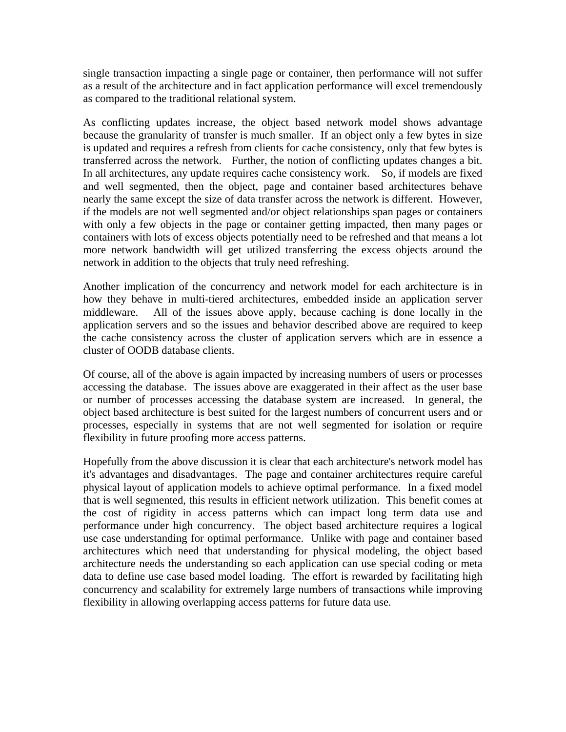single transaction impacting a single page or container, then performance will not suffer as a result of the architecture and in fact application performance will excel tremendously as compared to the traditional relational system.

As conflicting updates increase, the object based network model shows advantage because the granularity of transfer is much smaller. If an object only a few bytes in size is updated and requires a refresh from clients for cache consistency, only that few bytes is transferred across the network. Further, the notion of conflicting updates changes a bit. In all architectures, any update requires cache consistency work. So, if models are fixed and well segmented, then the object, page and container based architectures behave nearly the same except the size of data transfer across the network is different. However, if the models are not well segmented and/or object relationships span pages or containers with only a few objects in the page or container getting impacted, then many pages or containers with lots of excess objects potentially need to be refreshed and that means a lot more network bandwidth will get utilized transferring the excess objects around the network in addition to the objects that truly need refreshing.

Another implication of the concurrency and network model for each architecture is in how they behave in multi-tiered architectures, embedded inside an application server middleware. All of the issues above apply, because caching is done locally in the application servers and so the issues and behavior described above are required to keep the cache consistency across the cluster of application servers which are in essence a cluster of OODB database clients.

Of course, all of the above is again impacted by increasing numbers of users or processes accessing the database. The issues above are exaggerated in their affect as the user base or number of processes accessing the database system are increased. In general, the object based architecture is best suited for the largest numbers of concurrent users and or processes, especially in systems that are not well segmented for isolation or require flexibility in future proofing more access patterns.

Hopefully from the above discussion it is clear that each architecture's network model has it's advantages and disadvantages. The page and container architectures require careful physical layout of application models to achieve optimal performance. In a fixed model that is well segmented, this results in efficient network utilization. This benefit comes at the cost of rigidity in access patterns which can impact long term data use and performance under high concurrency. The object based architecture requires a logical use case understanding for optimal performance. Unlike with page and container based architectures which need that understanding for physical modeling, the object based architecture needs the understanding so each application can use special coding or meta data to define use case based model loading. The effort is rewarded by facilitating high concurrency and scalability for extremely large numbers of transactions while improving flexibility in allowing overlapping access patterns for future data use.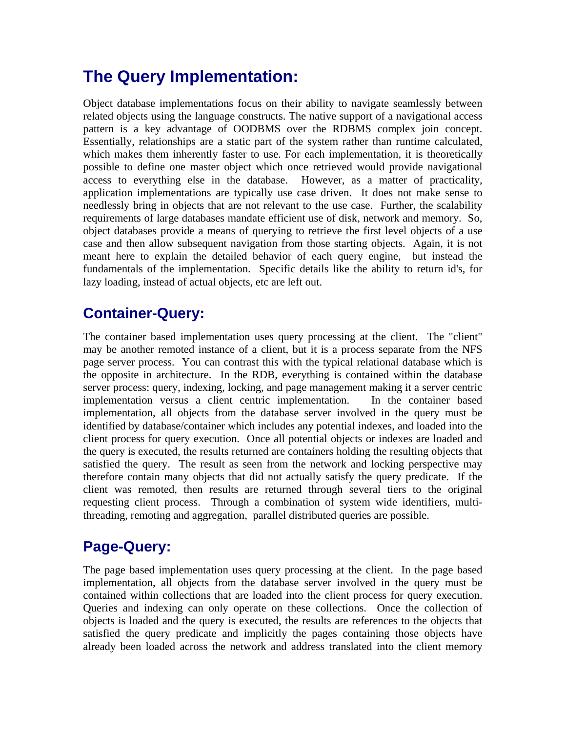## <span id="page-10-0"></span>**The Query Implementation:**

Object database implementations focus on their ability to navigate seamlessly between related objects using the language constructs. The native support of a navigational access pattern is a key advantage of OODBMS over the RDBMS complex join concept. Essentially, relationships are a static part of the system rather than runtime calculated, which makes them inherently faster to use. For each implementation, it is theoretically possible to define one master object which once retrieved would provide navigational access to everything else in the database. However, as a matter of practicality, application implementations are typically use case driven. It does not make sense to needlessly bring in objects that are not relevant to the use case. Further, the scalability requirements of large databases mandate efficient use of disk, network and memory. So, object databases provide a means of querying to retrieve the first level objects of a use case and then allow subsequent navigation from those starting objects. Again, it is not meant here to explain the detailed behavior of each query engine, but instead the fundamentals of the implementation. Specific details like the ability to return id's, for lazy loading, instead of actual objects, etc are left out.

### **Container-Query:**

The container based implementation uses query processing at the client. The "client" may be another remoted instance of a client, but it is a process separate from the NFS page server process. You can contrast this with the typical relational database which is the opposite in architecture. In the RDB, everything is contained within the database server process: query, indexing, locking, and page management making it a server centric implementation versus a client centric implementation. In the container based implementation, all objects from the database server involved in the query must be identified by database/container which includes any potential indexes, and loaded into the client process for query execution. Once all potential objects or indexes are loaded and the query is executed, the results returned are containers holding the resulting objects that satisfied the query. The result as seen from the network and locking perspective may therefore contain many objects that did not actually satisfy the query predicate. If the client was remoted, then results are returned through several tiers to the original requesting client process. Through a combination of system wide identifiers, multithreading, remoting and aggregation, parallel distributed queries are possible.

### **Page-Query:**

The page based implementation uses query processing at the client. In the page based implementation, all objects from the database server involved in the query must be contained within collections that are loaded into the client process for query execution. Queries and indexing can only operate on these collections. Once the collection of objects is loaded and the query is executed, the results are references to the objects that satisfied the query predicate and implicitly the pages containing those objects have already been loaded across the network and address translated into the client memory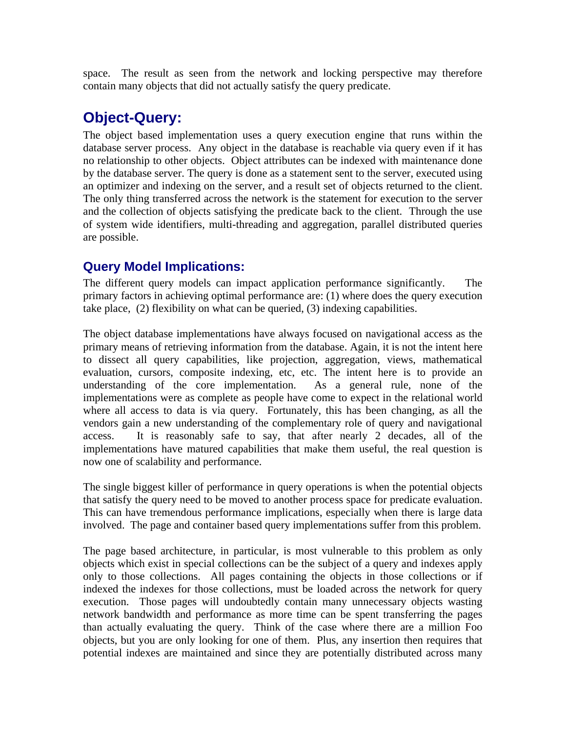<span id="page-11-0"></span>space. The result as seen from the network and locking perspective may therefore contain many objects that did not actually satisfy the query predicate.

### **Object-Query:**

The object based implementation uses a query execution engine that runs within the database server process. Any object in the database is reachable via query even if it has no relationship to other objects. Object attributes can be indexed with maintenance done by the database server. The query is done as a statement sent to the server, executed using an optimizer and indexing on the server, and a result set of objects returned to the client. The only thing transferred across the network is the statement for execution to the server and the collection of objects satisfying the predicate back to the client. Through the use of system wide identifiers, multi-threading and aggregation, parallel distributed queries are possible.

#### **Query Model Implications:**

The different query models can impact application performance significantly. The primary factors in achieving optimal performance are: (1) where does the query execution take place, (2) flexibility on what can be queried, (3) indexing capabilities.

The object database implementations have always focused on navigational access as the primary means of retrieving information from the database. Again, it is not the intent here to dissect all query capabilities, like projection, aggregation, views, mathematical evaluation, cursors, composite indexing, etc, etc. The intent here is to provide an understanding of the core implementation. As a general rule, none of the implementations were as complete as people have come to expect in the relational world where all access to data is via query. Fortunately, this has been changing, as all the vendors gain a new understanding of the complementary role of query and navigational access. It is reasonably safe to say, that after nearly 2 decades, all of the implementations have matured capabilities that make them useful, the real question is now one of scalability and performance.

The single biggest killer of performance in query operations is when the potential objects that satisfy the query need to be moved to another process space for predicate evaluation. This can have tremendous performance implications, especially when there is large data involved. The page and container based query implementations suffer from this problem.

The page based architecture, in particular, is most vulnerable to this problem as only objects which exist in special collections can be the subject of a query and indexes apply only to those collections. All pages containing the objects in those collections or if indexed the indexes for those collections, must be loaded across the network for query execution. Those pages will undoubtedly contain many unnecessary objects wasting network bandwidth and performance as more time can be spent transferring the pages than actually evaluating the query. Think of the case where there are a million Foo objects, but you are only looking for one of them. Plus, any insertion then requires that potential indexes are maintained and since they are potentially distributed across many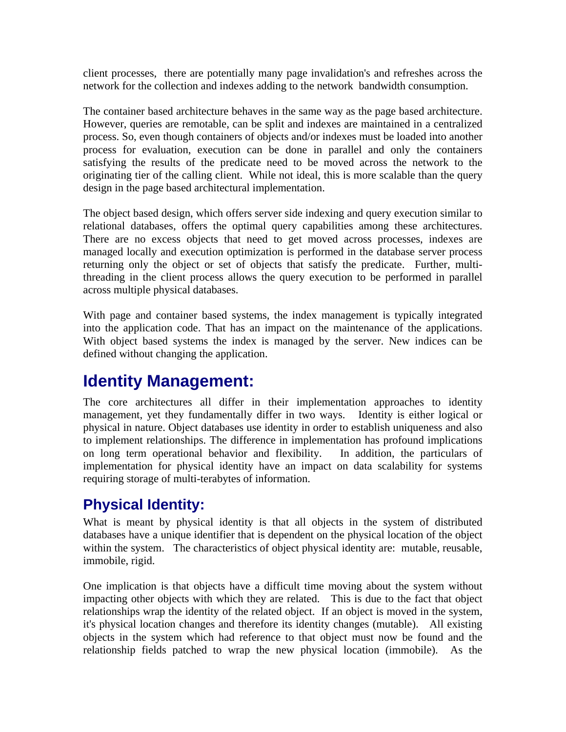<span id="page-12-0"></span>client processes, there are potentially many page invalidation's and refreshes across the network for the collection and indexes adding to the network bandwidth consumption.

The container based architecture behaves in the same way as the page based architecture. However, queries are remotable, can be split and indexes are maintained in a centralized process. So, even though containers of objects and/or indexes must be loaded into another process for evaluation, execution can be done in parallel and only the containers satisfying the results of the predicate need to be moved across the network to the originating tier of the calling client. While not ideal, this is more scalable than the query design in the page based architectural implementation.

The object based design, which offers server side indexing and query execution similar to relational databases, offers the optimal query capabilities among these architectures. There are no excess objects that need to get moved across processes, indexes are managed locally and execution optimization is performed in the database server process returning only the object or set of objects that satisfy the predicate. Further, multithreading in the client process allows the query execution to be performed in parallel across multiple physical databases.

With page and container based systems, the index management is typically integrated into the application code. That has an impact on the maintenance of the applications. With object based systems the index is managed by the server. New indices can be defined without changing the application.

## **Identity Management:**

The core architectures all differ in their implementation approaches to identity management, yet they fundamentally differ in two ways. Identity is either logical or physical in nature. Object databases use identity in order to establish uniqueness and also to implement relationships. The difference in implementation has profound implications on long term operational behavior and flexibility. In addition, the particulars of implementation for physical identity have an impact on data scalability for systems requiring storage of multi-terabytes of information.

### **Physical Identity:**

What is meant by physical identity is that all objects in the system of distributed databases have a unique identifier that is dependent on the physical location of the object within the system. The characteristics of object physical identity are: mutable, reusable, immobile, rigid.

One implication is that objects have a difficult time moving about the system without impacting other objects with which they are related. This is due to the fact that object relationships wrap the identity of the related object. If an object is moved in the system, it's physical location changes and therefore its identity changes (mutable). All existing objects in the system which had reference to that object must now be found and the relationship fields patched to wrap the new physical location (immobile). As the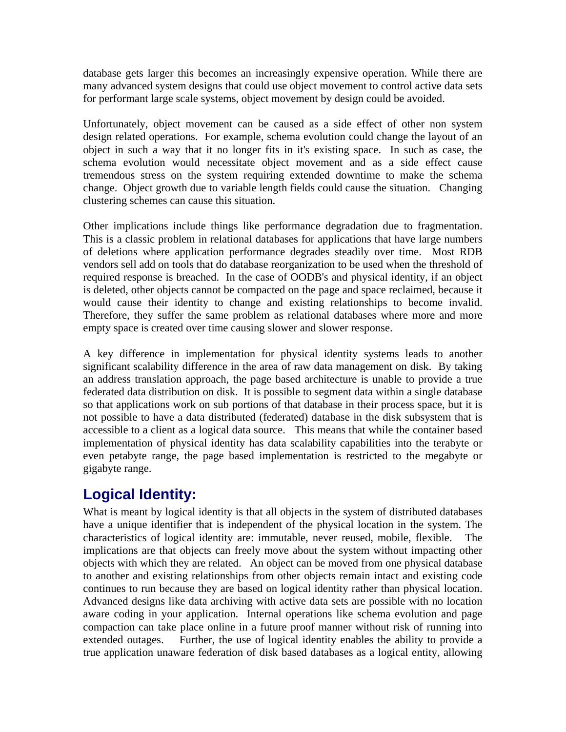<span id="page-13-0"></span>database gets larger this becomes an increasingly expensive operation. While there are many advanced system designs that could use object movement to control active data sets for performant large scale systems, object movement by design could be avoided.

Unfortunately, object movement can be caused as a side effect of other non system design related operations. For example, schema evolution could change the layout of an object in such a way that it no longer fits in it's existing space. In such as case, the schema evolution would necessitate object movement and as a side effect cause tremendous stress on the system requiring extended downtime to make the schema change. Object growth due to variable length fields could cause the situation. Changing clustering schemes can cause this situation.

Other implications include things like performance degradation due to fragmentation. This is a classic problem in relational databases for applications that have large numbers of deletions where application performance degrades steadily over time. Most RDB vendors sell add on tools that do database reorganization to be used when the threshold of required response is breached. In the case of OODB's and physical identity, if an object is deleted, other objects cannot be compacted on the page and space reclaimed, because it would cause their identity to change and existing relationships to become invalid. Therefore, they suffer the same problem as relational databases where more and more empty space is created over time causing slower and slower response.

A key difference in implementation for physical identity systems leads to another significant scalability difference in the area of raw data management on disk. By taking an address translation approach, the page based architecture is unable to provide a true federated data distribution on disk. It is possible to segment data within a single database so that applications work on sub portions of that database in their process space, but it is not possible to have a data distributed (federated) database in the disk subsystem that is accessible to a client as a logical data source. This means that while the container based implementation of physical identity has data scalability capabilities into the terabyte or even petabyte range, the page based implementation is restricted to the megabyte or gigabyte range.

### **Logical Identity:**

What is meant by logical identity is that all objects in the system of distributed databases have a unique identifier that is independent of the physical location in the system. The characteristics of logical identity are: immutable, never reused, mobile, flexible. The implications are that objects can freely move about the system without impacting other objects with which they are related. An object can be moved from one physical database to another and existing relationships from other objects remain intact and existing code continues to run because they are based on logical identity rather than physical location. Advanced designs like data archiving with active data sets are possible with no location aware coding in your application. Internal operations like schema evolution and page compaction can take place online in a future proof manner without risk of running into extended outages. Further, the use of logical identity enables the ability to provide a true application unaware federation of disk based databases as a logical entity, allowing